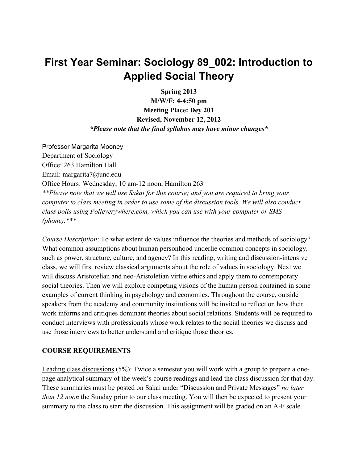# **First Year Seminar: Sociology 89\_002: Introduction to Applied Social Theory**

**Spring 2013**

**M/W/F: 4-4:50 pm Meeting Place: Dey 201 Revised, November 12, 2012** *\*Please note that the final syllabus may have minor changes\**

Professor Margarita Mooney Department of Sociology Office: 263 Hamilton Hall Email: margarita7@unc.edu Office Hours: Wednesday, 10 am-12 noon, Hamilton 263 *\*\*Please note that we will use Sakai for this course; and you are required to bring your computer to class meeting in order to use some of the discussion tools. We will also conduct class polls using Polleverywhere.com, which you can use with your computer or SMS (phone).\*\*\**

*Course Description*: To what extent do values influence the theories and methods of sociology? What common assumptions about human personhood underlie common concepts in sociology, such as power, structure, culture, and agency? In this reading, writing and discussion-intensive class, we will first review classical arguments about the role of values in sociology. Next we will discuss Aristotelian and neo-Aristoletian virtue ethics and apply them to contemporary social theories. Then we will explore competing visions of the human person contained in some examples of current thinking in psychology and economics. Throughout the course, outside speakers from the academy and community institutions will be invited to reflect on how their work informs and critiques dominant theories about social relations. Students will be required to conduct interviews with professionals whose work relates to the social theories we discuss and use those interviews to better understand and critique those theories.

#### **COURSE REQUIREMENTS**

Leading class discussions (5%): Twice a semester you will work with a group to prepare a onepage analytical summary of the week's course readings and lead the class discussion for that day. These summaries must be posted on Sakai under "Discussion and Private Messages" *no later than 12 noon* the Sunday prior to our class meeting. You will then be expected to present your summary to the class to start the discussion. This assignment will be graded on an A-F scale.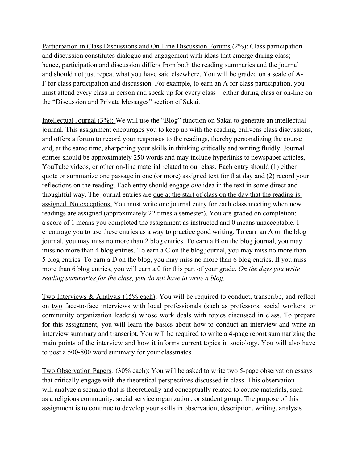Participation in Class Discussions and On-Line Discussion Forums (2%): Class participation and discussion constitutes dialogue and engagement with ideas that emerge during class; hence, participation and discussion differs from both the reading summaries and the journal and should not just repeat what you have said elsewhere. You will be graded on a scale of A-F for class participation and discussion. For example, to earn an A for class participation, you must attend every class in person and speak up for every class—either during class or on-line on the "Discussion and Private Messages" section of Sakai.

Intellectual Journal (3%): We will use the "Blog" function on Sakai to generate an intellectual journal. This assignment encourages you to keep up with the reading, enlivens class discussions, and offers a forum to record your responses to the readings, thereby personalizing the course and, at the same time, sharpening your skills in thinking critically and writing fluidly. Journal entries should be approximately 250 words and may include hyperlinks to newspaper articles, YouTube videos, or other on-line material related to our class. Each entry should (1) either quote or summarize one passage in one (or more) assigned text for that day and (2) record your reflections on the reading. Each entry should engage *one* idea in the text in some direct and thoughtful way. The journal entries are due at the start of class on the day that the reading is assigned. No exceptions. You must write one journal entry for each class meeting when new readings are assigned (approximately 22 times a semester). You are graded on completion: a score of 1 means you completed the assignment as instructed and 0 means unacceptable. I encourage you to use these entries as a way to practice good writing. To earn an A on the blog journal, you may miss no more than 2 blog entries. To earn a B on the blog journal, you may miss no more than 4 blog entries. To earn a C on the blog journal, you may miss no more than 5 blog entries. To earn a D on the blog, you may miss no more than 6 blog entries. If you miss more than 6 blog entries, you will earn a 0 for this part of your grade. *On the days you write reading summaries for the class, you do not have to write a blog.*

Two Interviews & Analysis (15% each): You will be required to conduct, transcribe, and reflect on two face-to-face interviews with local professionals (such as professors, social workers, or community organization leaders) whose work deals with topics discussed in class. To prepare for this assignment, you will learn the basics about how to conduct an interview and write an interview summary and transcript. You will be required to write a 4-page report summarizing the main points of the interview and how it informs current topics in sociology. You will also have to post a 500-800 word summary for your classmates.

Two Observation Papers*:* (30% each): You will be asked to write two 5-page observation essays that critically engage with the theoretical perspectives discussed in class. This observation will analyze a scenario that is theoretically and conceptually related to course materials, such as a religious community, social service organization, or student group. The purpose of this assignment is to continue to develop your skills in observation, description, writing, analysis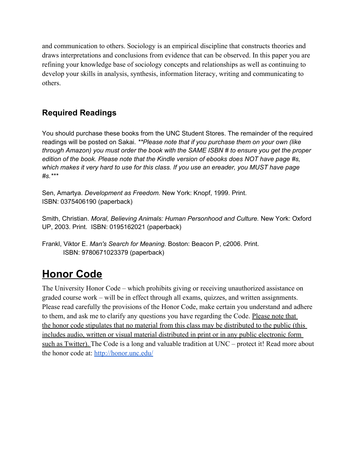and communication to others. Sociology is an empirical discipline that constructs theories and draws interpretations and conclusions from evidence that can be observed. In this paper you are refining your knowledge base of sociology concepts and relationships as well as continuing to develop your skills in analysis, synthesis, information literacy, writing and communicating to others.

### **Required Readings**

You should purchase these books from the UNC Student Stores. The remainder of the required readings will be posted on Sakai. *\*\*Please note that if you purchase them on your own (like through Amazon) you must order the book with the SAME ISBN # to ensure you get the proper edition of the book. Please note that the Kindle version of ebooks does NOT have page #s, which makes it very hard to use for this class. If you use an ereader, you MUST have page #s.\*\*\**

Sen, Amartya. *Development as Freedom.* New York: Knopf, 1999. Print. ISBN: 0375406190 (paperback)

Smith, Christian. *Moral, Believing Animals: Human Personhood and Culture.* New York: Oxford UP, 2003. Print. ISBN: 0195162021 (paperback)

Frankl, Viktor E. *Man's Search for Meaning.* Boston: Beacon P, c2006. Print. ISBN: 9780671023379 (paperback)

# **Honor Code**

The University Honor Code – which prohibits giving or receiving unauthorized assistance on graded course work – will be in effect through all exams, quizzes, and written assignments. Please read carefully the provisions of the Honor Code, make certain you understand and adhere to them, and ask me to clarify any questions you have regarding the Code. Please note that the honor code stipulates that no material from this class may be distributed to the public (this includes audio, written or visual material distributed in print or in any public electronic form such as Twitter). The Code is a long and valuable tradition at UNC – protect it! Read more about the honor code at[:](http://honor.unc.edu/) <http://honor.unc.edu/>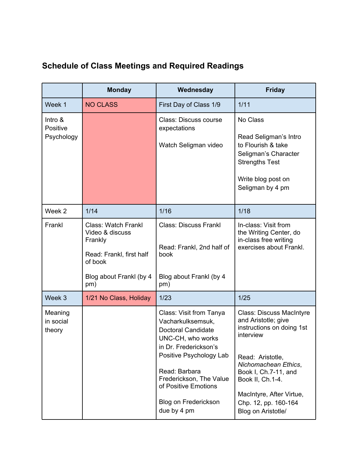## **Schedule of Class Meetings and Required Readings**

|                                   | <b>Monday</b>                                                                                                                     | Wednesday                                                                                                                                                                                                                                                     | <b>Friday</b>                                                                                                                                                                                                                                                      |
|-----------------------------------|-----------------------------------------------------------------------------------------------------------------------------------|---------------------------------------------------------------------------------------------------------------------------------------------------------------------------------------------------------------------------------------------------------------|--------------------------------------------------------------------------------------------------------------------------------------------------------------------------------------------------------------------------------------------------------------------|
| Week 1                            | <b>NO CLASS</b>                                                                                                                   | First Day of Class 1/9                                                                                                                                                                                                                                        | 1/11                                                                                                                                                                                                                                                               |
| Intro &<br>Positive<br>Psychology |                                                                                                                                   | <b>Class: Discuss course</b><br>expectations<br>Watch Seligman video                                                                                                                                                                                          | No Class<br>Read Seligman's Intro<br>to Flourish & take<br>Seligman's Character<br><b>Strengths Test</b><br>Write blog post on<br>Seligman by 4 pm                                                                                                                 |
| Week 2                            | 1/14                                                                                                                              | 1/16                                                                                                                                                                                                                                                          | 1/18                                                                                                                                                                                                                                                               |
| Frankl                            | <b>Class: Watch Frankl</b><br>Video & discuss<br>Frankly<br>Read: Frankl, first half<br>of book<br>Blog about Frankl (by 4<br>pm) | <b>Class: Discuss Frankl</b><br>Read: Frankl, 2nd half of<br>book<br>Blog about Frankl (by 4<br>pm)                                                                                                                                                           | In-class: Visit from<br>the Writing Center, do<br>in-class free writing<br>exercises about Frankl.                                                                                                                                                                 |
| Week 3                            | 1/21 No Class, Holiday                                                                                                            | 1/23                                                                                                                                                                                                                                                          | 1/25                                                                                                                                                                                                                                                               |
| Meaning<br>in social<br>theory    |                                                                                                                                   | Class: Visit from Tanya<br>Vacharkulksemsuk,<br><b>Doctoral Candidate</b><br>UNC-CH, who works<br>in Dr. Frederickson's<br>Positive Psychology Lab<br>Read: Barbara<br>Frederickson, The Value<br>of Positive Emotions<br>Blog on Frederickson<br>due by 4 pm | <b>Class: Discuss MacIntyre</b><br>and Aristotle; give<br>instructions on doing 1st<br>interview<br>Read: Aristotle,<br>Nichomachean Ethics,<br>Book I, Ch.7-11, and<br>Book II, Ch.1-4.<br>MacIntyre, After Virtue,<br>Chp. 12, pp. 160-164<br>Blog on Aristotle/ |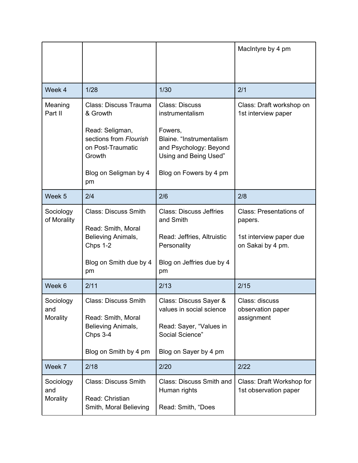|                              |                                                                                                                                              |                                                                                                                                                              | MacIntyre by 4 pm                                                                  |
|------------------------------|----------------------------------------------------------------------------------------------------------------------------------------------|--------------------------------------------------------------------------------------------------------------------------------------------------------------|------------------------------------------------------------------------------------|
| Week 4                       | 1/28                                                                                                                                         | 1/30                                                                                                                                                         | 2/1                                                                                |
| Meaning<br>Part II           | Class: Discuss Trauma<br>& Growth<br>Read: Seligman,<br>sections from Flourish<br>on Post-Traumatic<br>Growth<br>Blog on Seligman by 4<br>pm | <b>Class: Discuss</b><br>instrumentalism<br>Fowers,<br>Blaine. "Instrumentalism<br>and Psychology: Beyond<br>Using and Being Used"<br>Blog on Fowers by 4 pm | Class: Draft workshop on<br>1st interview paper                                    |
| Week 5                       | 2/4                                                                                                                                          | 2/6                                                                                                                                                          | 2/8                                                                                |
| Sociology<br>of Morality     | <b>Class: Discuss Smith</b><br>Read: Smith, Moral<br>Believing Animals,<br>Chps 1-2<br>Blog on Smith due by 4<br>pm                          | <b>Class: Discuss Jeffries</b><br>and Smith<br>Read: Jeffries, Altruistic<br>Personality<br>Blog on Jeffries due by 4<br>pm                                  | Class: Presentations of<br>papers.<br>1st interview paper due<br>on Sakai by 4 pm. |
| Week 6                       | 2/11                                                                                                                                         | 2/13                                                                                                                                                         | 2/15                                                                               |
| Sociology<br>and<br>Morality | <b>Class: Discuss Smith</b><br>Read: Smith, Moral<br>Believing Animals,<br>Chps 3-4<br>Blog on Smith by 4 pm                                 | Class: Discuss Sayer &<br>values in social science<br>Read: Sayer, "Values in<br>Social Science"<br>Blog on Sayer by 4 pm                                    | Class: discuss<br>observation paper<br>assignment                                  |
| Week 7                       | 2/18                                                                                                                                         | 2/20                                                                                                                                                         | 2/22                                                                               |
| Sociology<br>and<br>Morality | <b>Class: Discuss Smith</b><br>Read: Christian<br>Smith, Moral Believing                                                                     | Class: Discuss Smith and<br>Human rights<br>Read: Smith, "Does                                                                                               | Class: Draft Workshop for<br>1st observation paper                                 |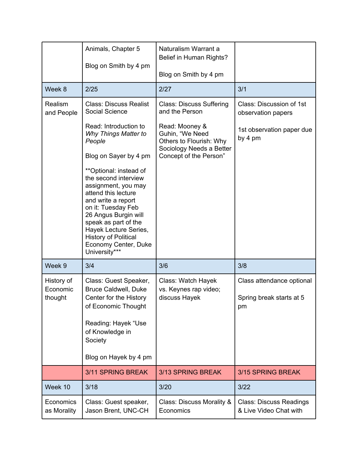|                                   | Animals, Chapter 5<br>Blog on Smith by 4 pm                                                                                                                                                                                                                                                                                                                                   | Naturalism Warrant a<br>Belief in Human Rights?<br>Blog on Smith by 4 pm                                           |                                                             |
|-----------------------------------|-------------------------------------------------------------------------------------------------------------------------------------------------------------------------------------------------------------------------------------------------------------------------------------------------------------------------------------------------------------------------------|--------------------------------------------------------------------------------------------------------------------|-------------------------------------------------------------|
| Week 8                            | 2/25                                                                                                                                                                                                                                                                                                                                                                          | 2/27                                                                                                               | 3/1                                                         |
| Realism<br>and People             | <b>Class: Discuss Realist</b><br>Social Science                                                                                                                                                                                                                                                                                                                               | <b>Class: Discuss Suffering</b><br>and the Person                                                                  | Class: Discussion of 1st<br>observation papers              |
|                                   | Read: Introduction to<br>Why Things Matter to<br>People<br>Blog on Sayer by 4 pm<br>**Optional: instead of<br>the second interview<br>assignment, you may<br>attend this lecture<br>and write a report<br>on it: Tuesday Feb<br>26 Angus Burgin will<br>speak as part of the<br>Hayek Lecture Series,<br><b>History of Political</b><br>Economy Center, Duke<br>University*** | Read: Mooney &<br>Guhin, "We Need<br>Others to Flourish: Why<br>Sociology Needs a Better<br>Concept of the Person" | 1st observation paper due<br>by 4 pm                        |
| Week 9                            | 3/4                                                                                                                                                                                                                                                                                                                                                                           | 3/6                                                                                                                | 3/8                                                         |
| History of<br>Economic<br>thought | Class: Guest Speaker,<br><b>Bruce Caldwell, Duke</b><br>Center for the History<br>of Economic Thought<br>Reading: Hayek "Use<br>of Knowledge in<br>Society<br>Blog on Hayek by 4 pm                                                                                                                                                                                           | Class: Watch Hayek<br>vs. Keynes rap video;<br>discuss Hayek                                                       | Class attendance optional<br>Spring break starts at 5<br>pm |
|                                   | 3/11 SPRING BREAK                                                                                                                                                                                                                                                                                                                                                             | 3/13 SPRING BREAK                                                                                                  | 3/15 SPRING BREAK                                           |
| Week 10                           | 3/18                                                                                                                                                                                                                                                                                                                                                                          | 3/20                                                                                                               | 3/22                                                        |
| Economics<br>as Morality          | Class: Guest speaker,<br>Jason Brent, UNC-CH                                                                                                                                                                                                                                                                                                                                  | Class: Discuss Morality &<br>Economics                                                                             | <b>Class: Discuss Readings</b><br>& Live Video Chat with    |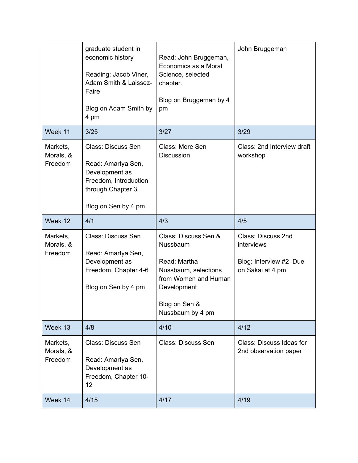|                                  | graduate student in<br>economic history<br>Reading: Jacob Viner,<br>Adam Smith & Laissez-<br>Faire<br>Blog on Adam Smith by<br>4 pm    | Read: John Bruggeman,<br>Economics as a Moral<br>Science, selected<br>chapter.<br>Blog on Bruggeman by 4<br>pm   | John Bruggeman                                    |
|----------------------------------|----------------------------------------------------------------------------------------------------------------------------------------|------------------------------------------------------------------------------------------------------------------|---------------------------------------------------|
| Week 11                          | 3/25                                                                                                                                   | 3/27                                                                                                             | 3/29                                              |
| Markets,<br>Morals, &<br>Freedom | <b>Class: Discuss Sen</b><br>Read: Amartya Sen,<br>Development as<br>Freedom, Introduction<br>through Chapter 3<br>Blog on Sen by 4 pm | Class: More Sen<br><b>Discussion</b>                                                                             | Class: 2nd Interview draft<br>workshop            |
| Week 12                          | 4/1                                                                                                                                    | 4/3                                                                                                              | 4/5                                               |
| Markets,                         | <b>Class: Discuss Sen</b>                                                                                                              | Class: Discuss Sen &<br>Nussbaum                                                                                 | Class: Discuss 2nd<br>interviews                  |
| Morals, &<br>Freedom             | Read: Amartya Sen,<br>Development as<br>Freedom, Chapter 4-6<br>Blog on Sen by 4 pm                                                    | Read: Martha<br>Nussbaum, selections<br>from Women and Human<br>Development<br>Blog on Sen &<br>Nussbaum by 4 pm | Blog: Interview #2 Due<br>on Sakai at 4 pm        |
| Week 13                          | 4/8                                                                                                                                    | 4/10                                                                                                             | 4/12                                              |
| Markets,<br>Morals, &<br>Freedom | <b>Class: Discuss Sen</b><br>Read: Amartya Sen,<br>Development as<br>Freedom, Chapter 10-<br>12                                        | <b>Class: Discuss Sen</b>                                                                                        | Class: Discuss Ideas for<br>2nd observation paper |